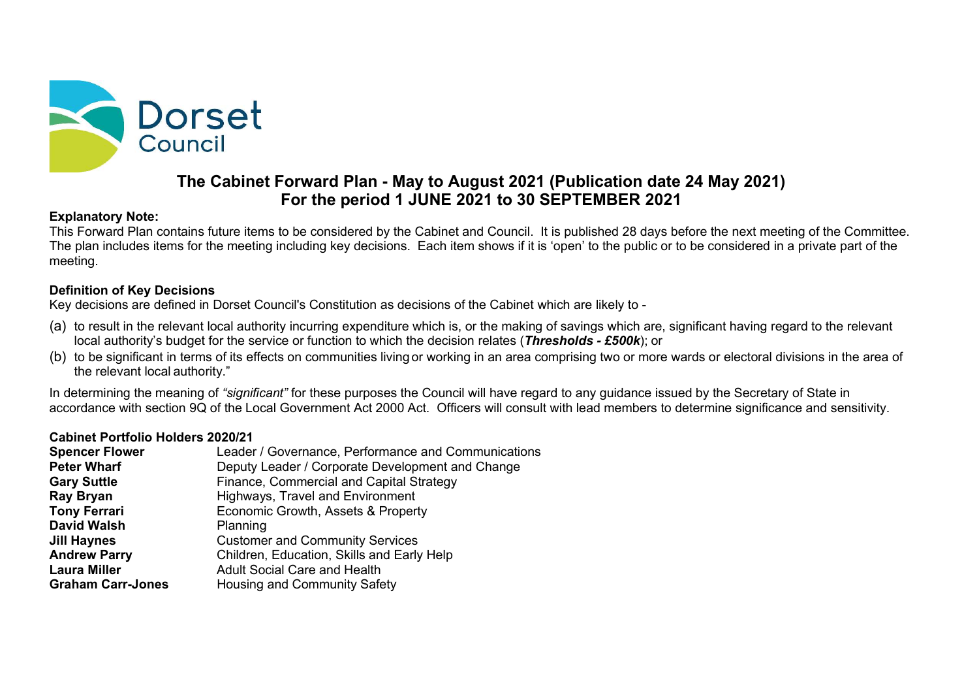

# The Cabinet Forward Plan - May to August 2021 (Publication date 24 May 2021) For the period 1 JUNE 2021 to 30 SEPTEMBER 2021

#### Explanatory Note:

This Forward Plan contains future items to be considered by the Cabinet and Council. It is published 28 days before the next meeting of the Committee. The plan includes items for the meeting including key decisions. Each item shows if it is 'open' to the public or to be considered in a private part of the meeting. **Explanatory Nor Columning the Columning Columning Columning to the Columning or the School of the School or the School or the School or the School or the School or the School or the School or the School or the School or t** 

## Definition of Key Decisions

Key decisions are defined in Dorset Council's Constitution as decisions of the Cabinet which are likely to -

- (a) to result in the relevant local authority incurring expenditure which is, or the making of savings which are, significant having regard to the relevant local authority's budget for the service or function to which the decision relates (Thresholds - £500k); or
- the relevant local authority."

In determining the meaning of "significant" for these purposes the Council will have regard to any guidance issued by the Secretary of State in accordance with section 9Q of the Local Government Act 2000 Act. Officers will consult with lead members to determine significance and sensitivity.

## Cabinet Portfolio Holders 2020/21

| <b>Spencer Flower</b>    | Leader / Governance, Performance and Communications |
|--------------------------|-----------------------------------------------------|
| <b>Peter Wharf</b>       | Deputy Leader / Corporate Development and Change    |
| <b>Gary Suttle</b>       | Finance, Commercial and Capital Strategy            |
| <b>Ray Bryan</b>         | Highways, Travel and Environment                    |
| <b>Tony Ferrari</b>      | Economic Growth, Assets & Property                  |
| David Walsh              | Planning                                            |
| Jill Haynes              | <b>Customer and Community Services</b>              |
| <b>Andrew Parry</b>      | Children, Education, Skills and Early Help          |
| <b>Laura Miller</b>      | <b>Adult Social Care and Health</b>                 |
| <b>Graham Carr-Jones</b> | Housing and Community Safety                        |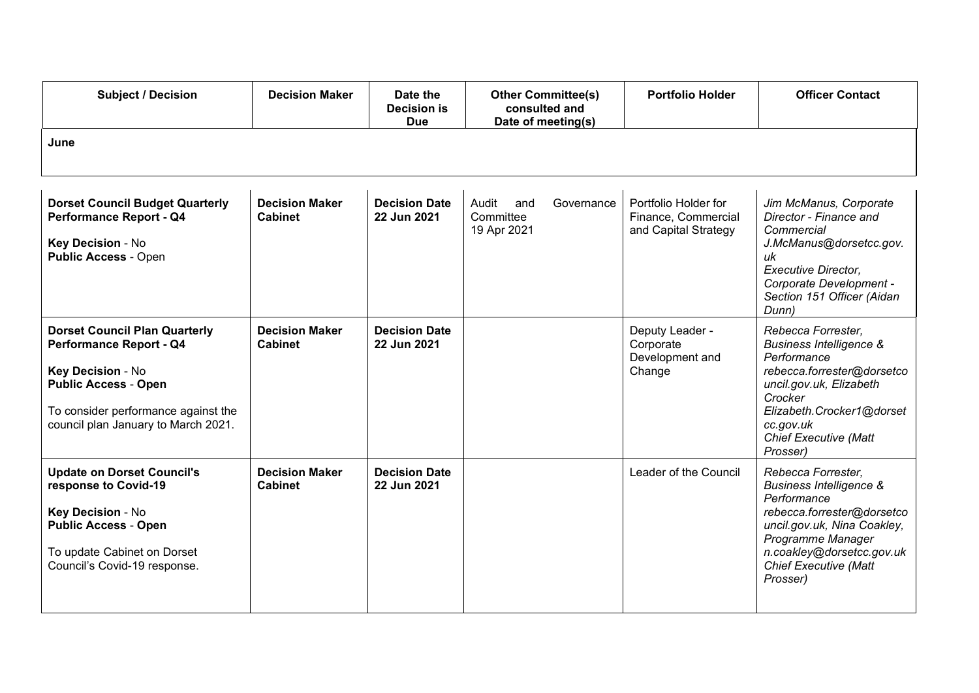| <b>Subject / Decision</b>                                                                                                                                                                         | <b>Decision Maker</b>                   | Date the<br><b>Decision is</b><br><b>Due</b> | <b>Other Committee(s)</b><br>consulted and<br>Date of meeting(s) | <b>Portfolio Holder</b>                                             | <b>Officer Contact</b>                                                                                                                                                                                                             |
|---------------------------------------------------------------------------------------------------------------------------------------------------------------------------------------------------|-----------------------------------------|----------------------------------------------|------------------------------------------------------------------|---------------------------------------------------------------------|------------------------------------------------------------------------------------------------------------------------------------------------------------------------------------------------------------------------------------|
| June                                                                                                                                                                                              |                                         |                                              |                                                                  |                                                                     |                                                                                                                                                                                                                                    |
| <b>Dorset Council Budget Quarterly</b><br><b>Performance Report - Q4</b><br>Key Decision - No<br><b>Public Access - Open</b>                                                                      | <b>Decision Maker</b><br><b>Cabinet</b> | <b>Decision Date</b><br>22 Jun 2021          | Audit<br>Governance<br>and<br>Committee<br>19 Apr 2021           | Portfolio Holder for<br>Finance, Commercial<br>and Capital Strategy | Jim McManus, Corporate<br>Director - Finance and<br>Commercial<br>J.McManus@dorsetcc.gov.<br>uk<br>Executive Director,<br>Corporate Development -<br>Section 151 Officer (Aidan<br>Dunn)                                           |
| <b>Dorset Council Plan Quarterly</b><br>Performance Report - Q4<br>Key Decision - No<br><b>Public Access - Open</b><br>To consider performance against the<br>council plan January to March 2021. | <b>Decision Maker</b><br><b>Cabinet</b> | <b>Decision Date</b><br>22 Jun 2021          |                                                                  | Deputy Leader -<br>Corporate<br>Development and<br>Change           | Rebecca Forrester,<br><b>Business Intelligence &amp;</b><br>Performance<br>rebecca.forrester@dorsetco<br>uncil.gov.uk, Elizabeth<br>Crocker<br>Elizabeth.Crocker1@dorset<br>cc.gov.uk<br><b>Chief Executive (Matt</b><br>Prosser)  |
| <b>Update on Dorset Council's</b><br>response to Covid-19<br>Key Decision - No<br><b>Public Access - Open</b><br>To update Cabinet on Dorset<br>Council's Covid-19 response.                      | <b>Decision Maker</b><br><b>Cabinet</b> | <b>Decision Date</b><br>22 Jun 2021          |                                                                  | Leader of the Council                                               | Rebecca Forrester,<br><b>Business Intelligence &amp;</b><br>Performance<br>rebecca.forrester@dorsetco<br>uncil.gov.uk, Nina Coakley,<br>Programme Manager<br>n.coakley@dorsetcc.gov.uk<br><b>Chief Executive (Matt</b><br>Prosser) |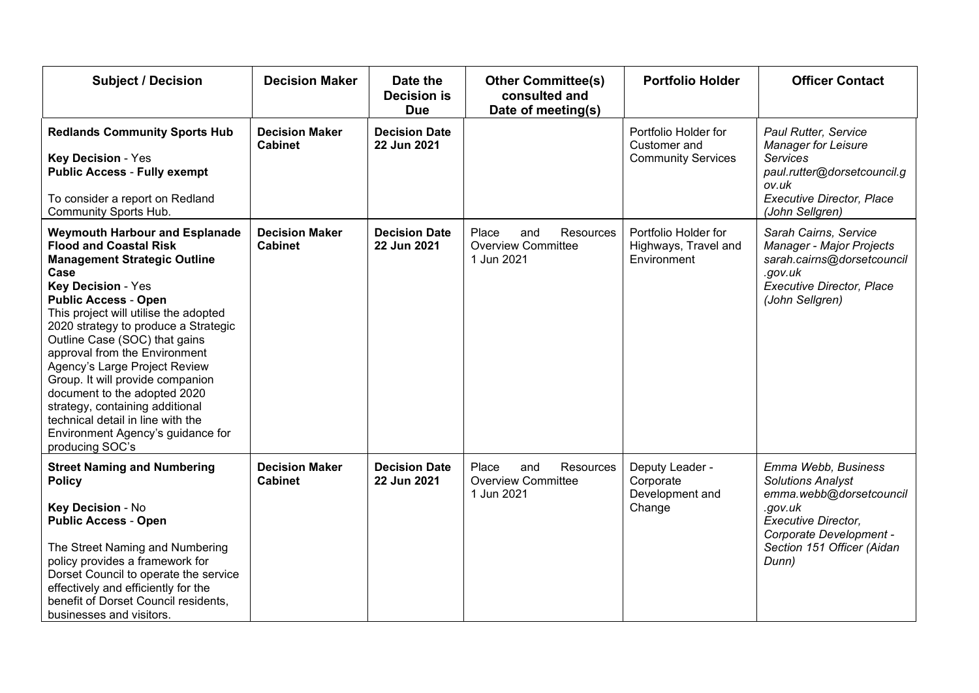| <b>Subject / Decision</b>                                                                                                                                                                                                                                                                                                                                                                                                                                                                                                                                                 | <b>Decision Maker</b>                   | Date the                            | <b>Other Committee(s)</b>                                            | <b>Portfolio Holder</b>                                           | <b>Officer Contact</b>                                                                                                                                                         |  |
|---------------------------------------------------------------------------------------------------------------------------------------------------------------------------------------------------------------------------------------------------------------------------------------------------------------------------------------------------------------------------------------------------------------------------------------------------------------------------------------------------------------------------------------------------------------------------|-----------------------------------------|-------------------------------------|----------------------------------------------------------------------|-------------------------------------------------------------------|--------------------------------------------------------------------------------------------------------------------------------------------------------------------------------|--|
|                                                                                                                                                                                                                                                                                                                                                                                                                                                                                                                                                                           |                                         | <b>Decision is</b><br><b>Due</b>    | consulted and<br>Date of meeting(s)                                  |                                                                   |                                                                                                                                                                                |  |
| <b>Redlands Community Sports Hub</b><br><b>Key Decision - Yes</b><br><b>Public Access - Fully exempt</b><br>To consider a report on Redland<br>Community Sports Hub.                                                                                                                                                                                                                                                                                                                                                                                                      | <b>Decision Maker</b><br><b>Cabinet</b> | <b>Decision Date</b><br>22 Jun 2021 |                                                                      | Portfolio Holder for<br>Customer and<br><b>Community Services</b> | Paul Rutter, Service<br><b>Manager for Leisure</b><br><b>Services</b><br>paul.rutter@dorsetcouncil.g<br>ov.uk<br><b>Executive Director, Place</b><br>(John Sellgren)           |  |
| <b>Weymouth Harbour and Esplanade</b><br><b>Flood and Coastal Risk</b><br><b>Management Strategic Outline</b><br>Case<br><b>Key Decision - Yes</b><br><b>Public Access - Open</b><br>This project will utilise the adopted<br>2020 strategy to produce a Strategic<br>Outline Case (SOC) that gains<br>approval from the Environment<br>Agency's Large Project Review<br>Group. It will provide companion<br>document to the adopted 2020<br>strategy, containing additional<br>technical detail in line with the<br>Environment Agency's guidance for<br>producing SOC's | <b>Decision Maker</b><br><b>Cabinet</b> | <b>Decision Date</b><br>22 Jun 2021 | Resources<br>Place<br>and<br><b>Overview Committee</b><br>1 Jun 2021 | Portfolio Holder for<br>Highways, Travel and<br>Environment       | Sarah Cairns, Service<br>Manager - Major Projects<br>sarah.cairns@dorsetcouncil<br>.gov.uk<br><b>Executive Director, Place</b><br>(John Sellgren)                              |  |
| <b>Street Naming and Numbering</b><br><b>Policy</b><br>Key Decision - No<br><b>Public Access - Open</b><br>The Street Naming and Numbering<br>policy provides a framework for<br>Dorset Council to operate the service<br>effectively and efficiently for the<br>benefit of Dorset Council residents,<br>businesses and visitors.                                                                                                                                                                                                                                         | <b>Decision Maker</b><br><b>Cabinet</b> | <b>Decision Date</b><br>22 Jun 2021 | Resources<br>Place<br>and<br><b>Overview Committee</b><br>1 Jun 2021 | Deputy Leader -<br>Corporate<br>Development and<br>Change         | Emma Webb, Business<br><b>Solutions Analyst</b><br>emma.webb@dorsetcouncil<br>.gov.uk<br>Executive Director,<br>Corporate Development -<br>Section 151 Officer (Aidan<br>Dunn) |  |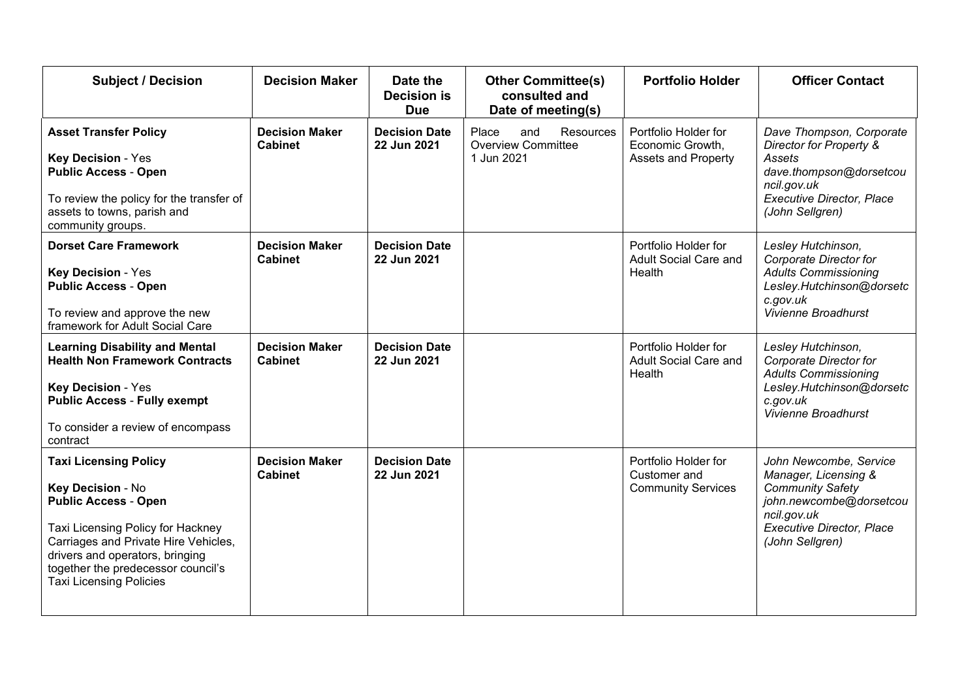| <b>Subject / Decision</b>                                                                                                                                                                                                                                                | <b>Decision Maker</b>                   | Date the<br><b>Decision is</b><br><b>Due</b> | <b>Other Committee(s)</b><br>consulted and<br>Date of meeting(s)     | <b>Portfolio Holder</b>                                                | <b>Officer Contact</b>                                                                                                                                                     |
|--------------------------------------------------------------------------------------------------------------------------------------------------------------------------------------------------------------------------------------------------------------------------|-----------------------------------------|----------------------------------------------|----------------------------------------------------------------------|------------------------------------------------------------------------|----------------------------------------------------------------------------------------------------------------------------------------------------------------------------|
| <b>Asset Transfer Policy</b><br><b>Key Decision - Yes</b><br><b>Public Access - Open</b><br>To review the policy for the transfer of<br>assets to towns, parish and<br>community groups.                                                                                 | <b>Decision Maker</b><br><b>Cabinet</b> | <b>Decision Date</b><br>22 Jun 2021          | Place<br>Resources<br>and<br><b>Overview Committee</b><br>1 Jun 2021 | Portfolio Holder for<br>Economic Growth,<br><b>Assets and Property</b> | Dave Thompson, Corporate<br>Director for Property &<br>Assets<br>dave.thompson@dorsetcou<br>ncil.gov.uk<br><b>Executive Director, Place</b><br>(John Sellgren)             |
| <b>Dorset Care Framework</b><br><b>Key Decision - Yes</b><br><b>Public Access - Open</b><br>To review and approve the new<br>framework for Adult Social Care                                                                                                             | <b>Decision Maker</b><br><b>Cabinet</b> | <b>Decision Date</b><br>22 Jun 2021          |                                                                      | Portfolio Holder for<br>Adult Social Care and<br>Health                | Lesley Hutchinson,<br>Corporate Director for<br><b>Adults Commissioning</b><br>Lesley.Hutchinson@dorsetc<br>c.gov.uk<br>Vivienne Broadhurst                                |
| <b>Learning Disability and Mental</b><br><b>Health Non Framework Contracts</b><br><b>Key Decision - Yes</b><br><b>Public Access - Fully exempt</b><br>To consider a review of encompass<br>contract                                                                      | <b>Decision Maker</b><br><b>Cabinet</b> | <b>Decision Date</b><br>22 Jun 2021          |                                                                      | Portfolio Holder for<br>Adult Social Care and<br>Health                | Lesley Hutchinson,<br>Corporate Director for<br><b>Adults Commissioning</b><br>Lesley.Hutchinson@dorsetc<br>c.gov.uk<br>Vivienne Broadhurst                                |
| <b>Taxi Licensing Policy</b><br>Key Decision - No<br><b>Public Access - Open</b><br>Taxi Licensing Policy for Hackney<br>Carriages and Private Hire Vehicles,<br>drivers and operators, bringing<br>together the predecessor council's<br><b>Taxi Licensing Policies</b> | <b>Decision Maker</b><br><b>Cabinet</b> | <b>Decision Date</b><br>22 Jun 2021          |                                                                      | Portfolio Holder for<br>Customer and<br><b>Community Services</b>      | John Newcombe, Service<br>Manager, Licensing &<br><b>Community Safety</b><br>john.newcombe@dorsetcou<br>ncil.gov.uk<br><b>Executive Director, Place</b><br>(John Sellgren) |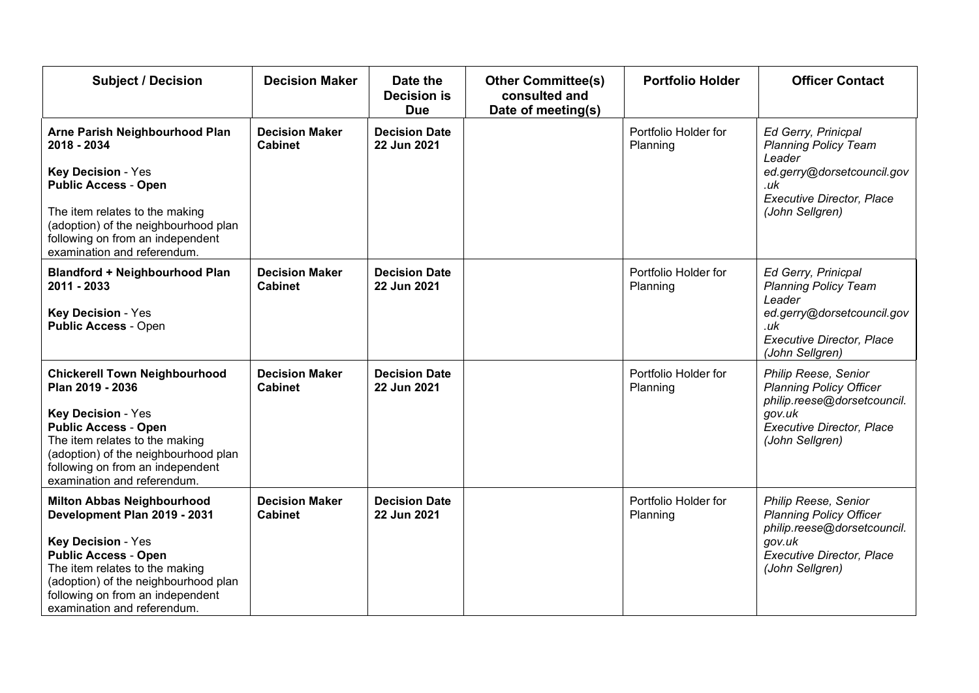| <b>Subject / Decision</b>                                                                                                                                                                                                                                           | <b>Decision Maker</b>                   | Date the<br><b>Decision is</b><br><b>Due</b> | <b>Other Committee(s)</b><br>consulted and<br>Date of meeting(s) | <b>Portfolio Holder</b>          | <b>Officer Contact</b>                                                                                                                                   |
|---------------------------------------------------------------------------------------------------------------------------------------------------------------------------------------------------------------------------------------------------------------------|-----------------------------------------|----------------------------------------------|------------------------------------------------------------------|----------------------------------|----------------------------------------------------------------------------------------------------------------------------------------------------------|
| Arne Parish Neighbourhood Plan<br>2018 - 2034<br><b>Key Decision - Yes</b><br><b>Public Access - Open</b><br>The item relates to the making<br>(adoption) of the neighbourhood plan<br>following on from an independent<br>examination and referendum.              | <b>Decision Maker</b><br><b>Cabinet</b> | <b>Decision Date</b><br>22 Jun 2021          |                                                                  | Portfolio Holder for<br>Planning | Ed Gerry, Prinicpal<br><b>Planning Policy Team</b><br>Leader<br>ed.gerry@dorsetcouncil.gov<br>.uk<br><b>Executive Director, Place</b><br>(John Sellgren) |
| <b>Blandford + Neighbourhood Plan</b><br>2011 - 2033<br>Key Decision - Yes<br><b>Public Access - Open</b>                                                                                                                                                           | <b>Decision Maker</b><br><b>Cabinet</b> | <b>Decision Date</b><br>22 Jun 2021          |                                                                  | Portfolio Holder for<br>Planning | Ed Gerry, Prinicpal<br><b>Planning Policy Team</b><br>Leader<br>ed.gerry@dorsetcouncil.gov<br>.uk<br><b>Executive Director, Place</b><br>(John Sellgren) |
| <b>Chickerell Town Neighbourhood</b><br>Plan 2019 - 2036<br>Key Decision - Yes<br><b>Public Access - Open</b><br>The item relates to the making<br>(adoption) of the neighbourhood plan<br>following on from an independent<br>examination and referendum.          | <b>Decision Maker</b><br><b>Cabinet</b> | <b>Decision Date</b><br>22 Jun 2021          |                                                                  | Portfolio Holder for<br>Planning | Philip Reese, Senior<br><b>Planning Policy Officer</b><br>philip.reese@dorsetcouncil.<br>gov.uk<br><b>Executive Director, Place</b><br>(John Sellgren)   |
| <b>Milton Abbas Neighbourhood</b><br>Development Plan 2019 - 2031<br>Key Decision - Yes<br><b>Public Access - Open</b><br>The item relates to the making<br>(adoption) of the neighbourhood plan<br>following on from an independent<br>examination and referendum. | <b>Decision Maker</b><br><b>Cabinet</b> | <b>Decision Date</b><br>22 Jun 2021          |                                                                  | Portfolio Holder for<br>Planning | Philip Reese, Senior<br><b>Planning Policy Officer</b><br>philip.reese@dorsetcouncil.<br>gov.uk<br><b>Executive Director, Place</b><br>(John Sellgren)   |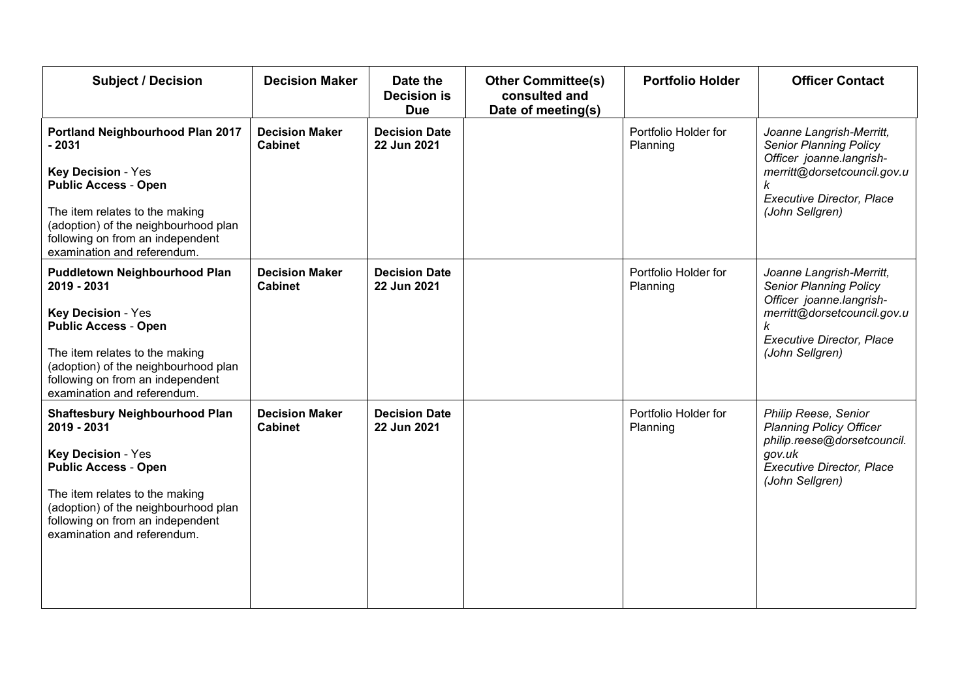| <b>Subject / Decision</b>                                                                                                                 | <b>Decision Maker</b>                   | Date the<br><b>Decision is</b><br><b>Due</b> | <b>Other Committee(s)</b><br>consulted and<br>Date of meeting(s) | <b>Portfolio Holder</b>          | <b>Officer Contact</b>                                                                |
|-------------------------------------------------------------------------------------------------------------------------------------------|-----------------------------------------|----------------------------------------------|------------------------------------------------------------------|----------------------------------|---------------------------------------------------------------------------------------|
| Portland Neighbourhood Plan 2017<br>$-2031$                                                                                               | <b>Decision Maker</b><br><b>Cabinet</b> | <b>Decision Date</b><br>22 Jun 2021          |                                                                  | Portfolio Holder for<br>Planning | Joanne Langrish-Merritt,<br><b>Senior Planning Policy</b><br>Officer joanne.langrish- |
| <b>Key Decision - Yes</b><br><b>Public Access - Open</b>                                                                                  |                                         |                                              |                                                                  |                                  | merritt@dorsetcouncil.gov.u<br>k<br><b>Executive Director, Place</b>                  |
| The item relates to the making<br>(adoption) of the neighbourhood plan<br>following on from an independent<br>examination and referendum. |                                         |                                              |                                                                  |                                  | (John Sellgren)                                                                       |
| <b>Puddletown Neighbourhood Plan</b><br>2019 - 2031                                                                                       | <b>Decision Maker</b><br><b>Cabinet</b> | <b>Decision Date</b><br>22 Jun 2021          |                                                                  | Portfolio Holder for<br>Planning | Joanne Langrish-Merritt,<br><b>Senior Planning Policy</b><br>Officer joanne.langrish- |
| Key Decision - Yes<br><b>Public Access - Open</b>                                                                                         |                                         |                                              |                                                                  |                                  | merritt@dorsetcouncil.gov.u<br><b>Executive Director, Place</b>                       |
| The item relates to the making<br>(adoption) of the neighbourhood plan<br>following on from an independent<br>examination and referendum. |                                         |                                              |                                                                  |                                  | (John Sellgren)                                                                       |
| <b>Shaftesbury Neighbourhood Plan</b><br>2019 - 2031                                                                                      | <b>Decision Maker</b><br><b>Cabinet</b> | <b>Decision Date</b><br>22 Jun 2021          |                                                                  | Portfolio Holder for<br>Planning | Philip Reese, Senior<br><b>Planning Policy Officer</b><br>philip.reese@dorsetcouncil. |
| <b>Key Decision - Yes</b><br><b>Public Access - Open</b>                                                                                  |                                         |                                              |                                                                  |                                  | gov.uk<br><b>Executive Director, Place</b><br>(John Sellgren)                         |
|                                                                                                                                           |                                         |                                              |                                                                  |                                  |                                                                                       |
| The item relates to the making<br>(adoption) of the neighbourhood plan<br>following on from an independent<br>examination and referendum. |                                         |                                              |                                                                  |                                  |                                                                                       |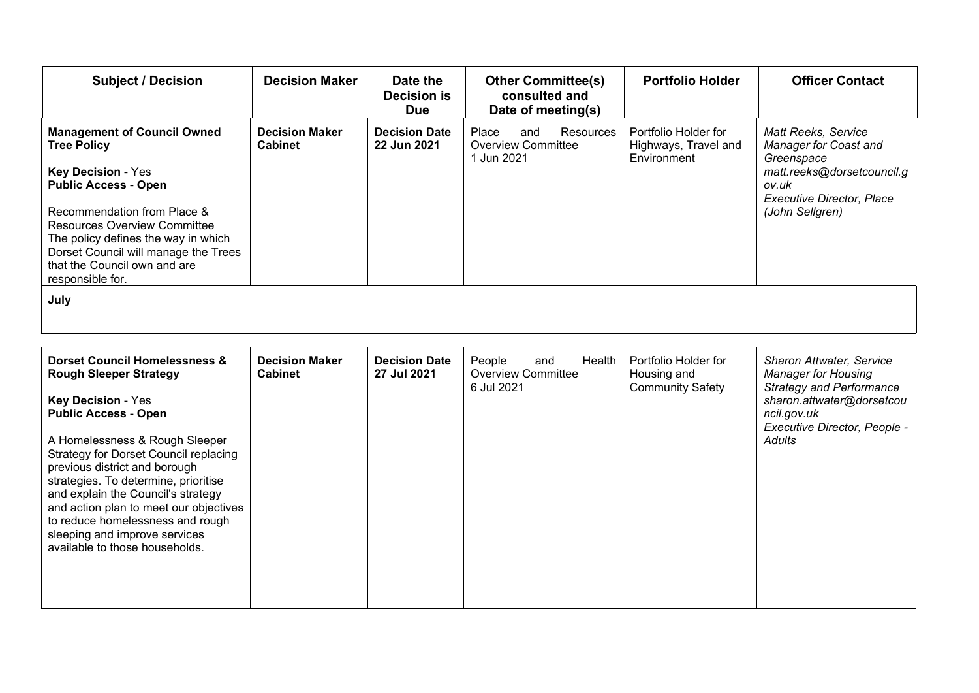| <b>Subject / Decision</b>                                                                                                                                                                                                                                                                                                               | <b>Decision Maker</b>                   | Date the<br><b>Decision is</b><br><b>Due</b> | <b>Other Committee(s)</b><br>consulted and<br>Date of meeting(s) | <b>Portfolio Holder</b>                      | <b>Officer Contact</b>                                                                                   |
|-----------------------------------------------------------------------------------------------------------------------------------------------------------------------------------------------------------------------------------------------------------------------------------------------------------------------------------------|-----------------------------------------|----------------------------------------------|------------------------------------------------------------------|----------------------------------------------|----------------------------------------------------------------------------------------------------------|
| <b>Management of Council Owned</b><br><b>Tree Policy</b>                                                                                                                                                                                                                                                                                | <b>Decision Maker</b><br><b>Cabinet</b> | <b>Decision Date</b><br>22 Jun 2021          | Place<br>Resources<br>and<br><b>Overview Committee</b>           | Portfolio Holder for<br>Highways, Travel and | Matt Reeks, Service<br>Manager for Coast and                                                             |
| <b>Key Decision - Yes</b><br><b>Public Access - Open</b>                                                                                                                                                                                                                                                                                |                                         |                                              | 1 Jun 2021                                                       | Environment                                  | Greenspace<br>matt.reeks@dorsetcouncil.g<br>ov.uk<br><b>Executive Director, Place</b><br>(John Sellgren) |
| Recommendation from Place &<br><b>Resources Overview Committee</b><br>The policy defines the way in which<br>Dorset Council will manage the Trees<br>that the Council own and are<br>responsible for.                                                                                                                                   |                                         |                                              |                                                                  |                                              |                                                                                                          |
| July                                                                                                                                                                                                                                                                                                                                    |                                         |                                              |                                                                  |                                              |                                                                                                          |
|                                                                                                                                                                                                                                                                                                                                         |                                         |                                              |                                                                  |                                              |                                                                                                          |
| <b>Dorset Council Homelessness &amp;</b><br><b>Rough Sleeper Strategy</b>                                                                                                                                                                                                                                                               | <b>Decision Maker</b><br><b>Cabinet</b> | <b>Decision Date</b><br>27 Jul 2021          | Health<br>People<br>and<br><b>Overview Committee</b>             | Portfolio Holder for<br>Housing and          | <b>Sharon Attwater, Service</b><br><b>Manager for Housing</b>                                            |
| <b>Key Decision - Yes</b><br><b>Public Access - Open</b>                                                                                                                                                                                                                                                                                |                                         |                                              | 6 Jul 2021                                                       | <b>Community Safety</b>                      | <b>Strategy and Performance</b><br>sharon.attwater@dorsetcou<br>ncil.gov.uk                              |
| A Homelessness & Rough Sleeper<br>Strategy for Dorset Council replacing<br>previous district and borough<br>strategies. To determine, prioritise<br>and explain the Council's strategy<br>and action plan to meet our objectives<br>to reduce homelessness and rough<br>sleeping and improve services<br>available to those households. |                                         |                                              |                                                                  |                                              | Executive Director, People -<br>Adults                                                                   |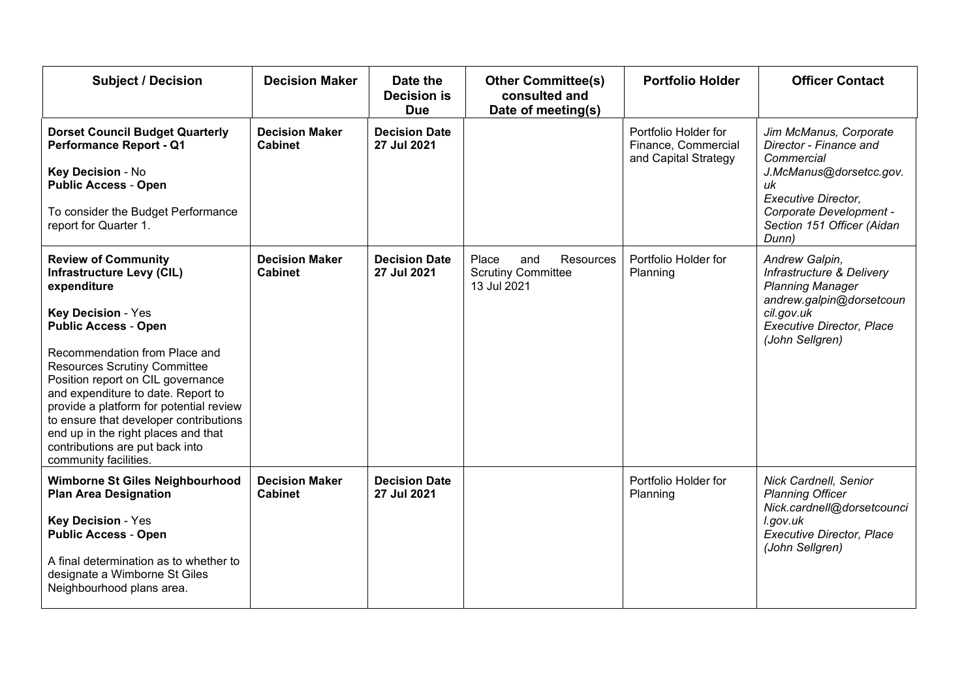| <b>Subject / Decision</b>                                                                                                                                                                                                                                                                                                                                                                                                                                                            | <b>Decision Maker</b>                   | Date the<br><b>Decision is</b><br><b>Due</b> | <b>Other Committee(s)</b><br>consulted and<br>Date of meeting(s)      | <b>Portfolio Holder</b>                                             | <b>Officer Contact</b>                                                                                                                                                                          |
|--------------------------------------------------------------------------------------------------------------------------------------------------------------------------------------------------------------------------------------------------------------------------------------------------------------------------------------------------------------------------------------------------------------------------------------------------------------------------------------|-----------------------------------------|----------------------------------------------|-----------------------------------------------------------------------|---------------------------------------------------------------------|-------------------------------------------------------------------------------------------------------------------------------------------------------------------------------------------------|
| <b>Dorset Council Budget Quarterly</b><br><b>Performance Report - Q1</b><br>Key Decision - No<br><b>Public Access - Open</b><br>To consider the Budget Performance<br>report for Quarter 1.                                                                                                                                                                                                                                                                                          | <b>Decision Maker</b><br><b>Cabinet</b> | <b>Decision Date</b><br>27 Jul 2021          |                                                                       | Portfolio Holder for<br>Finance, Commercial<br>and Capital Strategy | Jim McManus, Corporate<br>Director - Finance and<br>Commercial<br>J.McManus@dorsetcc.gov.<br>uk<br><b>Executive Director,</b><br>Corporate Development -<br>Section 151 Officer (Aidan<br>Dunn) |
| <b>Review of Community</b><br><b>Infrastructure Levy (CIL)</b><br>expenditure<br><b>Key Decision - Yes</b><br><b>Public Access - Open</b><br>Recommendation from Place and<br><b>Resources Scrutiny Committee</b><br>Position report on CIL governance<br>and expenditure to date. Report to<br>provide a platform for potential review<br>to ensure that developer contributions<br>end up in the right places and that<br>contributions are put back into<br>community facilities. | <b>Decision Maker</b><br><b>Cabinet</b> | <b>Decision Date</b><br>27 Jul 2021          | Place<br>Resources<br>and<br><b>Scrutiny Committee</b><br>13 Jul 2021 | Portfolio Holder for<br>Planning                                    | Andrew Galpin,<br>Infrastructure & Delivery<br><b>Planning Manager</b><br>andrew.galpin@dorsetcoun<br>cil.gov.uk<br><b>Executive Director, Place</b><br>(John Sellgren)                         |
| Wimborne St Giles Neighbourhood<br><b>Plan Area Designation</b><br>Key Decision - Yes<br><b>Public Access - Open</b><br>A final determination as to whether to<br>designate a Wimborne St Giles<br>Neighbourhood plans area.                                                                                                                                                                                                                                                         | <b>Decision Maker</b><br><b>Cabinet</b> | <b>Decision Date</b><br>27 Jul 2021          |                                                                       | Portfolio Holder for<br>Planning                                    | Nick Cardnell, Senior<br><b>Planning Officer</b><br>Nick.cardnell@dorsetcounci<br>l.gov.uk<br><b>Executive Director, Place</b><br>(John Sellgren)                                               |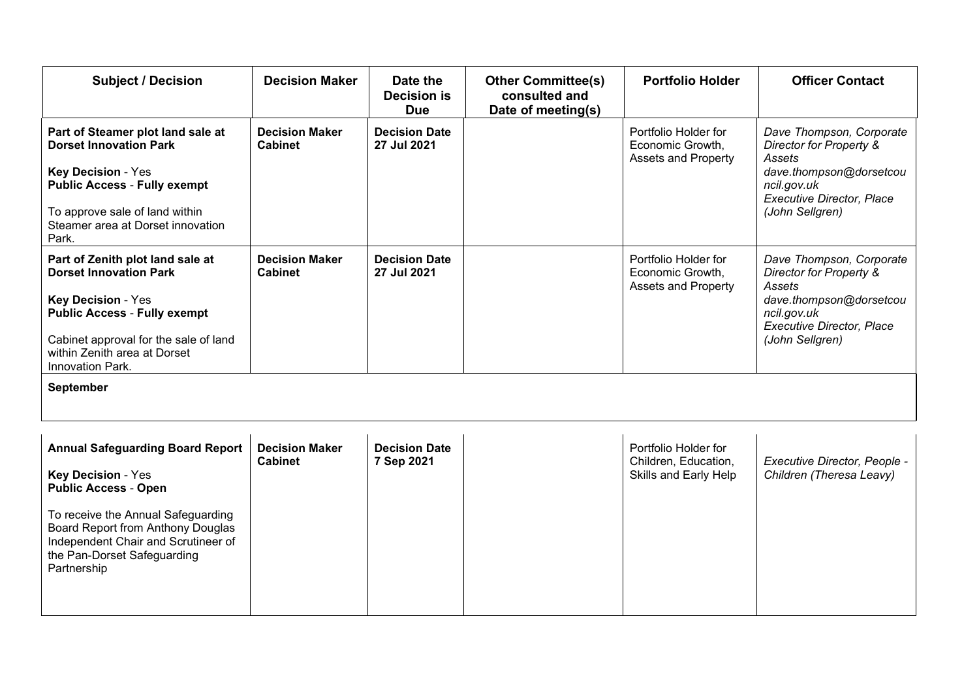| <b>Subject / Decision</b>                                                                                                                                                                                                   | <b>Decision Maker</b>                   | Date the<br><b>Decision is</b><br><b>Due</b> | <b>Other Committee(s)</b><br>consulted and<br>Date of meeting(s) | <b>Portfolio Holder</b>                                                | <b>Officer Contact</b>                                                                                                                                         |
|-----------------------------------------------------------------------------------------------------------------------------------------------------------------------------------------------------------------------------|-----------------------------------------|----------------------------------------------|------------------------------------------------------------------|------------------------------------------------------------------------|----------------------------------------------------------------------------------------------------------------------------------------------------------------|
| Part of Steamer plot land sale at<br><b>Dorset Innovation Park</b><br><b>Key Decision - Yes</b><br><b>Public Access - Fully exempt</b><br>To approve sale of land within<br>Steamer area at Dorset innovation<br>Park.      | <b>Decision Maker</b><br><b>Cabinet</b> | <b>Decision Date</b><br>27 Jul 2021          |                                                                  | Portfolio Holder for<br>Economic Growth,<br><b>Assets and Property</b> | Dave Thompson, Corporate<br>Director for Property &<br>Assets<br>dave.thompson@dorsetcou<br>ncil.gov.uk<br><b>Executive Director, Place</b><br>(John Sellgren) |
| Part of Zenith plot land sale at<br><b>Dorset Innovation Park</b><br>Key Decision - Yes<br><b>Public Access - Fully exempt</b><br>Cabinet approval for the sale of land<br>within Zenith area at Dorset<br>Innovation Park. | <b>Decision Maker</b><br><b>Cabinet</b> | <b>Decision Date</b><br>27 Jul 2021          |                                                                  | Portfolio Holder for<br>Economic Growth,<br><b>Assets and Property</b> | Dave Thompson, Corporate<br>Director for Property &<br>Assets<br>dave.thompson@dorsetcou<br>ncil.gov.uk<br><b>Executive Director, Place</b><br>(John Sellgren) |
| September                                                                                                                                                                                                                   |                                         |                                              |                                                                  |                                                                        |                                                                                                                                                                |
| <b>Annual Safeguarding Board Report</b><br><b>Key Decision - Yes</b><br><b>Public Access - Open</b>                                                                                                                         | <b>Decision Maker</b><br><b>Cabinet</b> | <b>Decision Date</b><br>7 Sep 2021           |                                                                  | Portfolio Holder for<br>Children, Education,<br>Skills and Early Help  | Executive Director, People -<br>Children (Theresa Leavy)                                                                                                       |

To receive the Annual Safeguarding Board Report from Anthony Douglas Independent Chair and Scrutineer of the Pan-Dorset Safeguarding Partnership and the state of the state of the state of the state of the state of the state of the state of the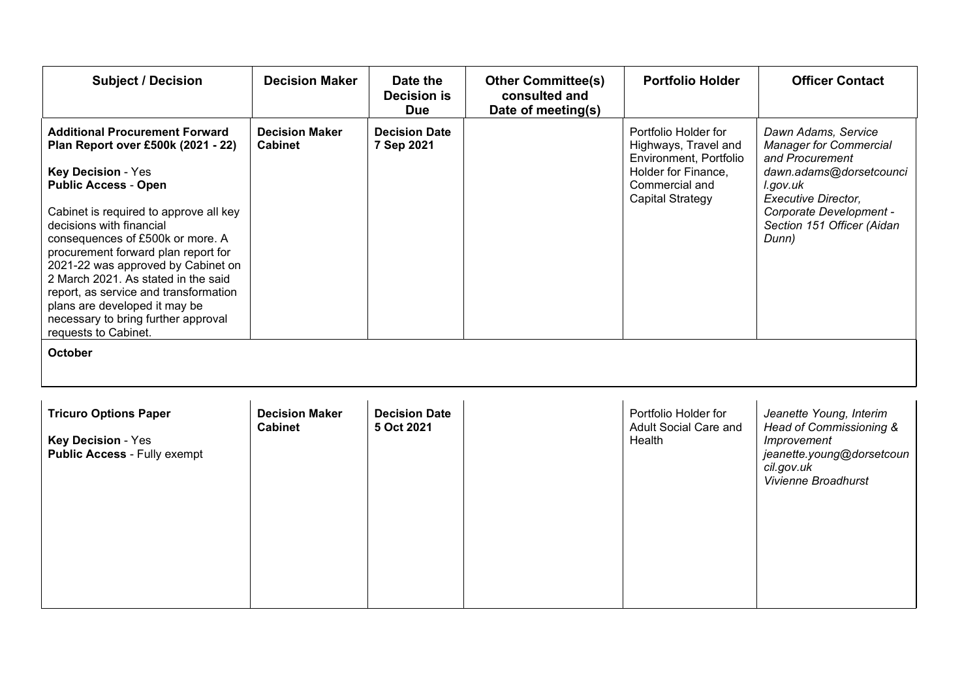| <b>Subject / Decision</b>                                                                                                                                                                                                                                                                                                                                                                                                                                                                                                 | <b>Decision Maker</b>                   | Date the<br><b>Decision is</b><br><b>Due</b> | <b>Other Committee(s)</b><br>consulted and<br>Date of meeting(s) | <b>Portfolio Holder</b>                                                                                                                    | <b>Officer Contact</b>                                                                                                                                                                                         |
|---------------------------------------------------------------------------------------------------------------------------------------------------------------------------------------------------------------------------------------------------------------------------------------------------------------------------------------------------------------------------------------------------------------------------------------------------------------------------------------------------------------------------|-----------------------------------------|----------------------------------------------|------------------------------------------------------------------|--------------------------------------------------------------------------------------------------------------------------------------------|----------------------------------------------------------------------------------------------------------------------------------------------------------------------------------------------------------------|
| <b>Additional Procurement Forward</b><br>Plan Report over £500k (2021 - 22)<br><b>Key Decision - Yes</b><br><b>Public Access - Open</b><br>Cabinet is required to approve all key<br>decisions with financial<br>consequences of £500k or more. A<br>procurement forward plan report for<br>2021-22 was approved by Cabinet on<br>2 March 2021. As stated in the said<br>report, as service and transformation<br>plans are developed it may be<br>necessary to bring further approval<br>requests to Cabinet.<br>October | <b>Decision Maker</b><br><b>Cabinet</b> | <b>Decision Date</b><br>7 Sep 2021           |                                                                  | Portfolio Holder for<br>Highways, Travel and<br>Environment, Portfolio<br>Holder for Finance,<br>Commercial and<br><b>Capital Strategy</b> | Dawn Adams, Service<br><b>Manager for Commercial</b><br>and Procurement<br>dawn.adams@dorsetcounci<br>l.gov.uk<br><b>Executive Director,</b><br>Corporate Development -<br>Section 151 Officer (Aidan<br>Dunn) |
| <b>Tricuro Options Paper</b><br>Key Decision - Yes<br>Public Access - Fully exempt                                                                                                                                                                                                                                                                                                                                                                                                                                        | <b>Decision Maker</b><br><b>Cabinet</b> | <b>Decision Date</b><br>5 Oct 2021           |                                                                  | Portfolio Holder for<br>Adult Social Care and<br>Health                                                                                    | Jeanette Young, Interim<br>Head of Commissioning &<br>Improvement<br>jeanette.young@dorsetcoun<br>cil.gov.uk<br>Vivienne Broadhurst                                                                            |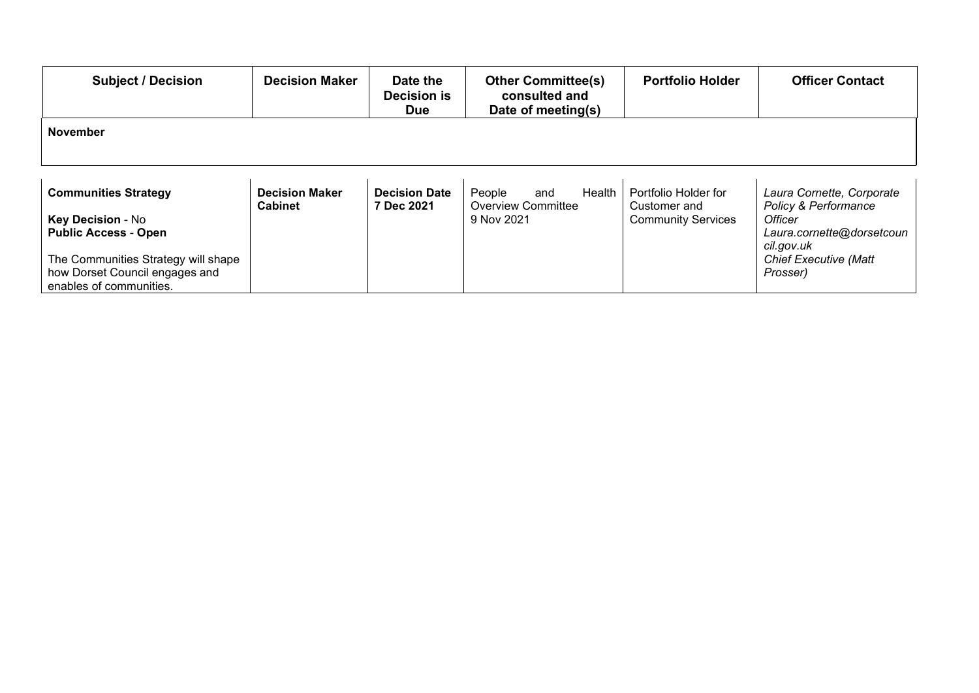| <b>Subject / Decision</b>                                             | <b>Decision Maker</b> | Date the<br><b>Decision is</b><br><b>Due</b> | <b>Other Committee(s)</b><br>consulted and<br>Date of meeting(s) | <b>Portfolio Holder</b>                   | <b>Officer Contact</b>                   |
|-----------------------------------------------------------------------|-----------------------|----------------------------------------------|------------------------------------------------------------------|-------------------------------------------|------------------------------------------|
| November                                                              |                       |                                              |                                                                  |                                           |                                          |
|                                                                       |                       |                                              |                                                                  |                                           |                                          |
| <b>Communities Strategy</b>                                           | <b>Decision Maker</b> | <b>Decision Date</b>                         | People<br>Health<br>and                                          | Portfolio Holder for                      | Laura Cornette, Corporate                |
| Key Decision - No                                                     | <b>Cabinet</b>        | 7 Dec 2021                                   | <b>Overview Committee</b><br>9 Nov 2021                          | Customer and<br><b>Community Services</b> | Policy & Performance<br>Officer          |
| <b>Public Access - Open</b>                                           |                       |                                              |                                                                  |                                           | Laura.cornette@dorsetcoun<br>cil.gov.uk  |
| The Communities Strategy will shape<br>how Dorset Council engages and |                       |                                              |                                                                  |                                           | <b>Chief Executive (Matt</b><br>Prosser) |
| enables of communities.                                               |                       |                                              |                                                                  |                                           |                                          |